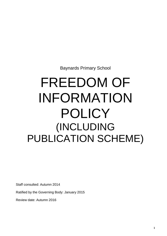Baynards Primary School

# FREEDOM OF INFORMATION POLICY (INCLUDING PUBLICATION SCHEME)

Staff consulted: Autumn 2014

Ratified by the Governing Body: January 2015

Review date: Autumn 2016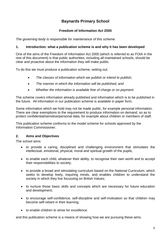# **Baynards Primary School**

#### **Freedom of Information Act 2000**

*The governing body is responsible for maintenance of this scheme.*

#### **1. Introduction: what a publication scheme is and why it has been developed**

One of the aims of the Freedom of Information Act 2000 (which is referred to as FOIA in the rest of this document) is that public authorities, including all maintained schools, should be clear and proactive about the information they will make public.

To do this we must produce a publication scheme, setting out:

- *The classes of information which we publish or intend to publish;*
- *The manner in which the information will be published; and*
- *Whether the information is available free of charge or on payment.*

The scheme covers information already published and information which is to be published in the future. All information in our publication scheme is available in paper form.

Some information which we hold may not be made public, for example personal information. There are clear exemptions to the requirement to produce information on demand, so as to protect confidential/sensitive/personal data, for example about children or members of staff.

This publication scheme conforms to the model scheme for schools approved by the Information Commissioner.

#### **2. Aims and Objectives**

The school aims:

- to provide a caring, disciplined and challenging environment that stimulates the intellectual, emotional, physical, moral and spiritual growth of the pupils;
- to enable each child, whatever their ability, to recognise their own worth and to accept their responsibilities to society;
- to provide a broad and stimulating curriculum based on the National Curriculum, which seeks to develop lively, inquiring minds, and enables children to understand the society in which they live focussing on British Values;
- to nurture those basic skills and concepts which are necessary for future education and development;
- to encourage self-confidence, self-discipline and self-motivation so that children may become self-reliant in their learning;
- to enable children to strive for excellence.

and this publication scheme is a means of showing how we are pursuing these aims.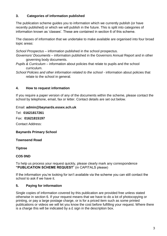### **3. Categories of information published**

The publication scheme guides you to information which we currently publish (or have recently published) or which we will publish in the future. This is split into categories of information known as 'classes'. These are contained in section 6 of this scheme.

The classes of information that we undertake to make available are organised into four broad topic areas:

*School Prospectus* – information published in the school prospectus.

- *Governors' Documents* information published in the Governors Annual Report and in other governing body documents.
- *Pupils & Curriculum* information about policies that relate to pupils and the school curriculum.
- *School Policies and other information related to the school* information about policies that relate to the school in general.

## **4. How to request information**

If you require a paper version of any of the documents within the scheme, please contact the school by telephone, email, fax or letter. Contact details are set out below.

### Email: **admin@baynards.essex.sch.uk**

Tel: **01621817261**

Fax: **01621815197**

Contact Address:

**Baynards Primary School**

### **Townsend Road**

**Tiptree**

# **CO5 0ND**

To help us process your request quickly, please clearly mark any correspondence **"PUBLICATION SCHEME REQUEST**" (in CAPITALS please)

If the information you're looking for isn't available via the scheme you can still contact the school to ask if we have it.

# **5. Paying for information**

Single copies of information covered by this publication are provided free unless stated otherwise in section 6. If your request means that we have to do a lot of photocopying or printing, or pay a large postage charge, or is for a priced item such as some printed publications or videos we will let you know the cost before fulfilling your request. Where there is a charge this will be indicated by a £ sign in the description box.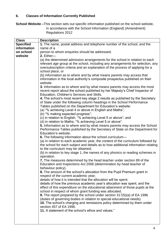#### **6. Classes of Information Currently Published**

**School Website –**This section sets out specific information published on the school website, in accordance with the School Information (England) (Amendment) Regulations 2012

| <b>Class</b>     | <b>Description</b>                                                                                                                                                                                                                                                                                                                            |
|------------------|-----------------------------------------------------------------------------------------------------------------------------------------------------------------------------------------------------------------------------------------------------------------------------------------------------------------------------------------------|
| <b>Specified</b> | 1. The name, postal address and telephone number of the school, and the                                                                                                                                                                                                                                                                       |
| information      | name of a                                                                                                                                                                                                                                                                                                                                     |
| on school        | person to whom enquiries should be addressed.                                                                                                                                                                                                                                                                                                 |
| website          | 2. Either-                                                                                                                                                                                                                                                                                                                                    |
|                  | (a) the determined admission arrangements for the school in relation to each<br>relevant age group at the school, including any arrangements for selection, any<br>oversubscription criteria and an explanation of the process of applying for a<br>school place; or<br>(b) information as to where and by what means parents may access that |
|                  | information in the local authority's composite prospectus published on their<br>website.                                                                                                                                                                                                                                                      |
|                  | 3. Information as to where and by what means parents may access the most<br>recent report about the school published by her Majesty's Chief Inspector of<br>Education, Children's Services and Skills.                                                                                                                                        |
|                  | 4. The school's most recent key stage 2 results as published by the Secretary<br>of State under the following column headings in the School Performance<br>Tables published on the Department for Education's website:                                                                                                                        |
|                  | (a) "% achieving Level 4 or above in English and Maths";                                                                                                                                                                                                                                                                                      |
|                  | (b) "% making expected progress";                                                                                                                                                                                                                                                                                                             |
|                  | (c) in relation to English, "% achieving Level 5 or above"; and                                                                                                                                                                                                                                                                               |
|                  | (d) in relation to Maths, "% achieving Level 5 or above".                                                                                                                                                                                                                                                                                     |
|                  | 5. Information as to where and by what means parents may access the School<br>Performance Tables published by the Secretary of State on the Department for<br>Education's website.                                                                                                                                                            |
|                  | 6. The following information about the school curriculum-                                                                                                                                                                                                                                                                                     |
|                  | (a) in relation to each academic year, the content of the curriculum followed by                                                                                                                                                                                                                                                              |
|                  | the school for each subject and details as to how additional information relating<br>to the curriculum may be obtained;                                                                                                                                                                                                                       |
|                  | (b) in relation to key stage 1, the names of any phonics or reading schemes in<br>operation.                                                                                                                                                                                                                                                  |
|                  | 7. The measures determined by the head teacher under section 89 of the<br>Education and Inspections Act 2006 (determination by head teacher of                                                                                                                                                                                                |
|                  | behaviour policy).<br>8. The amount of the school's allocation from the Pupil Premium grant in<br>respect of the current academic year;                                                                                                                                                                                                       |
|                  | details of how it is intended that the allocation will be spent;                                                                                                                                                                                                                                                                              |
|                  | details of how the previous academic year's allocation was spent, and the<br>effect of this expenditure on the educational attainment of those pupils at the<br>school in respect of whom grant funding was allocated.                                                                                                                        |
|                  | <b>9.</b> The report prepared by the school under section 317(5)(a) of EA 1996<br>(duties of governing bodies in relation to special educational needs).<br>10. The school's charging and remissions policy determined by them under<br>section 457 of EA 1996.                                                                               |
|                  | 11. A statement of the school's ethos and values."                                                                                                                                                                                                                                                                                            |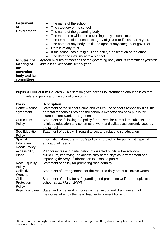| <b>Instrument</b><br>Οf<br><b>Government</b>                                            | The name of the school<br>The category of the school<br>$\bullet$<br>The name of the governing body<br>The manner in which the governing body is constituted<br>The term of office of each category of governor if less than 4 years<br>$\bullet$<br>The name of any body entitled to appoint any category of governor<br>Details of any trust |
|-----------------------------------------------------------------------------------------|------------------------------------------------------------------------------------------------------------------------------------------------------------------------------------------------------------------------------------------------------------------------------------------------------------------------------------------------|
|                                                                                         | If the school has a religious character, a description of the ethos<br>The date the instrument takes effect<br>$\bullet$                                                                                                                                                                                                                       |
| Minutes <sup>1</sup> of<br>meeting of<br>the<br>governing<br>body and its<br>committees | Agreed minutes of meetings of the governing body and its committees <i>[current</i> ]<br>and last full academic school year]                                                                                                                                                                                                                   |

**Pupils & Curriculum Policies -** This section gives access to information about policies that relate to pupils and the school curriculum.

| <b>Class</b>            | <b>Description</b>                                                            |
|-------------------------|-------------------------------------------------------------------------------|
| Home - school           | Statement of the school's aims and values, the school's responsibilities, the |
| agreement               | parental responsibilities and the school's expectations of its pupils for     |
|                         | example homework arrangements                                                 |
| Curriculum              | Statement on following the policy for the secular curriculum subjects and     |
| Policy                  | religious education and schemes of work and syllabuses currently used by      |
|                         | the school                                                                    |
| <b>Sex Education</b>    | Statement of policy with regard to sex and relationship education             |
| Policy                  |                                                                               |
| Special                 | Information about the school's policy on providing for pupils with special    |
| Education               | educational needs                                                             |
| <b>Needs Policy</b>     |                                                                               |
| Accessibility           | Plan for increasing participation of disabled pupils in the school's          |
| <b>Plans</b>            | curriculum, improving the accessibility of the physical environment and       |
|                         | improving delivery of information to disabled pupils.                         |
| <b>Race Equality</b>    | Statement of policy for promoting race equality                               |
| Policy                  |                                                                               |
| Collective              | Statement of arrangements for the required daily act of collective worship    |
| Worship                 |                                                                               |
| Child                   | Statement of policy for safeguarding and promoting welfare of pupils at the   |
| Protection              | school. (from March 2004)                                                     |
| Policy                  |                                                                               |
| <b>Pupil Discipline</b> | Statement of general principles on behaviour and discipline and of            |
|                         | measures taken by the head teacher to prevent bullying.                       |

<sup>&</sup>lt;u>.</u> <sup>1</sup> Some information might be confidential or otherwise exempt from the publication by law – we cannot therefore publish this